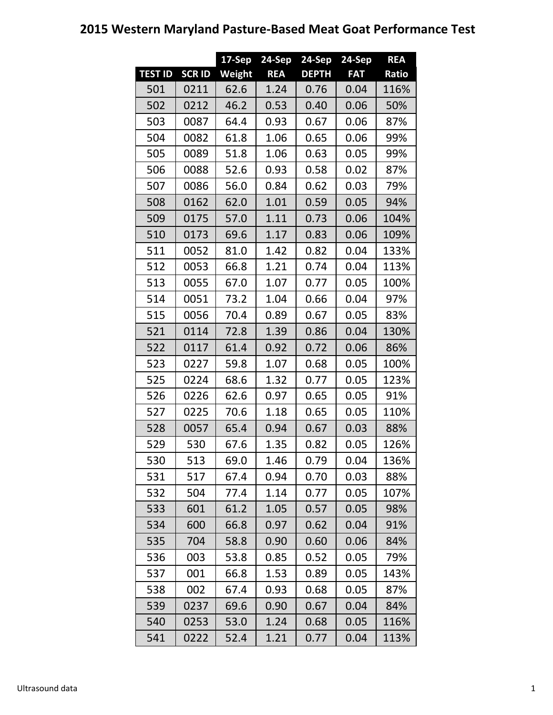## **2015 Western Maryland Pasture-Based Meat Goat Performance Test**

|                |               | $17-$ Sep | 24-Sep     | $24-Sep$     | 24-Sep     | <b>REA</b> |
|----------------|---------------|-----------|------------|--------------|------------|------------|
| <b>TEST ID</b> | <b>SCR ID</b> | Weight    | <b>REA</b> | <b>DEPTH</b> | <b>FAT</b> | Ratio      |
| 501            | 0211          | 62.6      | 1.24       | 0.76         | 0.04       | 116%       |
| 502            | 0212          | 46.2      | 0.53       | 0.40         | 0.06       | 50%        |
| 503            | 0087          | 64.4      | 0.93       | 0.67         | 0.06       | 87%        |
| 504            | 0082          | 61.8      | 1.06       | 0.65         | 0.06       | 99%        |
| 505            | 0089          | 51.8      | 1.06       | 0.63         | 0.05       | 99%        |
| 506            | 0088          | 52.6      | 0.93       | 0.58         | 0.02       | 87%        |
| 507            | 0086          | 56.0      | 0.84       | 0.62         | 0.03       | 79%        |
| 508            | 0162          | 62.0      | 1.01       | 0.59         | 0.05       | 94%        |
| 509            | 0175          | 57.0      | 1.11       | 0.73         | 0.06       | 104%       |
| 510            | 0173          | 69.6      | 1.17       | 0.83         | 0.06       | 109%       |
| 511            | 0052          | 81.0      | 1.42       | 0.82         | 0.04       | 133%       |
| 512            | 0053          | 66.8      | 1.21       | 0.74         | 0.04       | 113%       |
| 513            | 0055          | 67.0      | 1.07       | 0.77         | 0.05       | 100%       |
| 514            | 0051          | 73.2      | 1.04       | 0.66         | 0.04       | 97%        |
| 515            | 0056          | 70.4      | 0.89       | 0.67         | 0.05       | 83%        |
| 521            | 0114          | 72.8      | 1.39       | 0.86         | 0.04       | 130%       |
| 522            | 0117          | 61.4      | 0.92       | 0.72         | 0.06       | 86%        |
| 523            | 0227          | 59.8      | 1.07       | 0.68         | 0.05       | 100%       |
| 525            | 0224          | 68.6      | 1.32       | 0.77         | 0.05       | 123%       |
| 526            | 0226          | 62.6      | 0.97       | 0.65         | 0.05       | 91%        |
| 527            | 0225          | 70.6      | 1.18       | 0.65         | 0.05       | 110%       |
| 528            | 0057          | 65.4      | 0.94       | 0.67         | 0.03       | 88%        |
| 529            | 530           | 67.6      | 1.35       | 0.82         | 0.05       | 126%       |
| 530            | 513           | 69.0      | 1.46       | 0.79         | 0.04       | 136%       |
| 531            | 517           | 67.4      | 0.94       | 0.70         | 0.03       | 88%        |
| 532            | 504           | 77.4      | 1.14       | 0.77         | 0.05       | 107%       |
| 533            | 601           | 61.2      | 1.05       | 0.57         | 0.05       | 98%        |
| 534            | 600           | 66.8      | 0.97       | 0.62         | 0.04       | 91%        |
| 535            | 704           | 58.8      | 0.90       | 0.60         | 0.06       | 84%        |
| 536            | 003           | 53.8      | 0.85       | 0.52         | 0.05       | 79%        |
| 537            | 001           | 66.8      | 1.53       | 0.89         | 0.05       | 143%       |
| 538            | 002           | 67.4      | 0.93       | 0.68         | 0.05       | 87%        |
| 539            | 0237          | 69.6      | 0.90       | 0.67         | 0.04       | 84%        |
| 540            | 0253          | 53.0      | 1.24       | 0.68         | 0.05       | 116%       |
| 541            | 0222          | 52.4      | 1.21       | 0.77         | 0.04       | 113%       |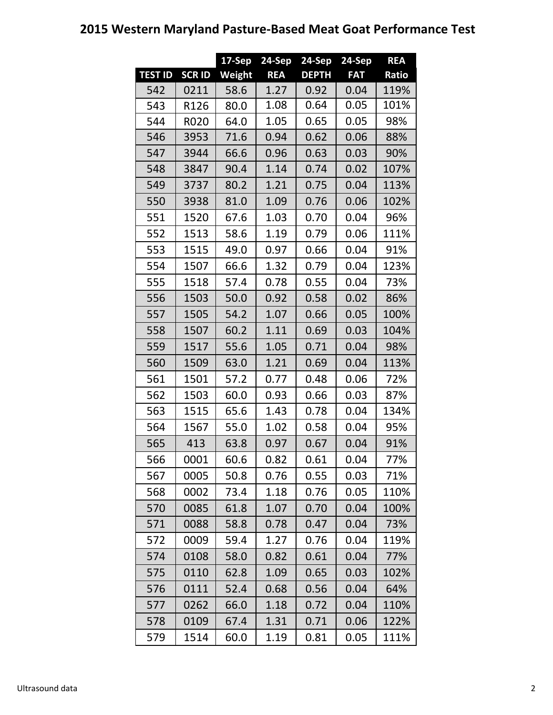## **2015 Western Maryland Pasture-Based Meat Goat Performance Test**

|                |              | $17-Sep$ | 24-Sep     | 24-Sep       | 24-Sep     | <b>REA</b> |
|----------------|--------------|----------|------------|--------------|------------|------------|
| <b>TEST ID</b> | <b>SCRID</b> | Weight   | <b>REA</b> | <b>DEPTH</b> | <b>FAT</b> | Ratio      |
| 542            | 0211         | 58.6     | 1.27       | 0.92         | 0.04       | 119%       |
| 543            | R126         | 80.0     | 1.08       | 0.64         | 0.05       | 101%       |
| 544            | <b>R020</b>  | 64.0     | 1.05       | 0.65         | 0.05       | 98%        |
| 546            | 3953         | 71.6     | 0.94       | 0.62         | 0.06       | 88%        |
| 547            | 3944         | 66.6     | 0.96       | 0.63         | 0.03       | 90%        |
| 548            | 3847         | 90.4     | 1.14       | 0.74         | 0.02       | 107%       |
| 549            | 3737         | 80.2     | 1.21       | 0.75         | 0.04       | 113%       |
| 550            | 3938         | 81.0     | 1.09       | 0.76         | 0.06       | 102%       |
| 551            | 1520         | 67.6     | 1.03       | 0.70         | 0.04       | 96%        |
| 552            | 1513         | 58.6     | 1.19       | 0.79         | 0.06       | 111%       |
| 553            | 1515         | 49.0     | 0.97       | 0.66         | 0.04       | 91%        |
| 554            | 1507         | 66.6     | 1.32       | 0.79         | 0.04       | 123%       |
| 555            | 1518         | 57.4     | 0.78       | 0.55         | 0.04       | 73%        |
| 556            | 1503         | 50.0     | 0.92       | 0.58         | 0.02       | 86%        |
| 557            | 1505         | 54.2     | 1.07       | 0.66         | 0.05       | 100%       |
| 558            | 1507         | 60.2     | 1.11       | 0.69         | 0.03       | 104%       |
| 559            | 1517         | 55.6     | 1.05       | 0.71         | 0.04       | 98%        |
| 560            | 1509         | 63.0     | 1.21       | 0.69         | 0.04       | 113%       |
| 561            | 1501         | 57.2     | 0.77       | 0.48         | 0.06       | 72%        |
| 562            | 1503         | 60.0     | 0.93       | 0.66         | 0.03       | 87%        |
| 563            | 1515         | 65.6     | 1.43       | 0.78         | 0.04       | 134%       |
| 564            | 1567         | 55.0     | 1.02       | 0.58         | 0.04       | 95%        |
| 565            | 413          | 63.8     | 0.97       | 0.67         | 0.04       | 91%        |
| 566            | 0001         | 60.6     | 0.82       | 0.61         | 0.04       | 77%        |
| 567            | 0005         | 50.8     | 0.76       | 0.55         | 0.03       | 71%        |
| 568            | 0002         | 73.4     | 1.18       | 0.76         | 0.05       | 110%       |
| 570            | 0085         | 61.8     | 1.07       | 0.70         | 0.04       | 100%       |
| 571            | 0088         | 58.8     | 0.78       | 0.47         | 0.04       | 73%        |
| 572            | 0009         | 59.4     | 1.27       | 0.76         | 0.04       | 119%       |
| 574            | 0108         | 58.0     | 0.82       | 0.61         | 0.04       | 77%        |
| 575            | 0110         | 62.8     | 1.09       | 0.65         | 0.03       | 102%       |
| 576            | 0111         | 52.4     | 0.68       | 0.56         | 0.04       | 64%        |
| 577            | 0262         | 66.0     | 1.18       | 0.72         | 0.04       | 110%       |
| 578            | 0109         | 67.4     | 1.31       | 0.71         | 0.06       | 122%       |
| 579            | 1514         | 60.0     | 1.19       | 0.81         | 0.05       | 111%       |